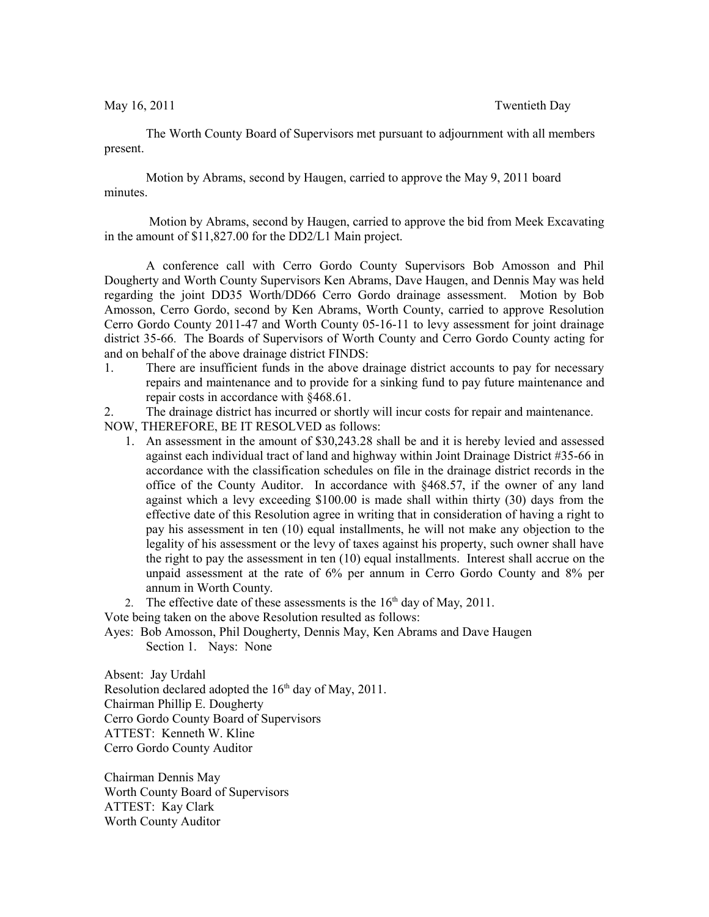May 16, 2011 Twentieth Day

The Worth County Board of Supervisors met pursuant to adjournment with all members present.

Motion by Abrams, second by Haugen, carried to approve the May 9, 2011 board minutes.

 Motion by Abrams, second by Haugen, carried to approve the bid from Meek Excavating in the amount of \$11,827.00 for the DD2/L1 Main project.

A conference call with Cerro Gordo County Supervisors Bob Amosson and Phil Dougherty and Worth County Supervisors Ken Abrams, Dave Haugen, and Dennis May was held regarding the joint DD35 Worth/DD66 Cerro Gordo drainage assessment. Motion by Bob Amosson, Cerro Gordo, second by Ken Abrams, Worth County, carried to approve Resolution Cerro Gordo County 2011-47 and Worth County 05-16-11 to levy assessment for joint drainage district 35-66. The Boards of Supervisors of Worth County and Cerro Gordo County acting for and on behalf of the above drainage district FINDS:

1. There are insufficient funds in the above drainage district accounts to pay for necessary repairs and maintenance and to provide for a sinking fund to pay future maintenance and repair costs in accordance with §468.61.

2. The drainage district has incurred or shortly will incur costs for repair and maintenance.

NOW, THEREFORE, BE IT RESOLVED as follows:

- 1. An assessment in the amount of \$30,243.28 shall be and it is hereby levied and assessed against each individual tract of land and highway within Joint Drainage District #35-66 in accordance with the classification schedules on file in the drainage district records in the office of the County Auditor. In accordance with §468.57, if the owner of any land against which a levy exceeding \$100.00 is made shall within thirty (30) days from the effective date of this Resolution agree in writing that in consideration of having a right to pay his assessment in ten (10) equal installments, he will not make any objection to the legality of his assessment or the levy of taxes against his property, such owner shall have the right to pay the assessment in ten (10) equal installments. Interest shall accrue on the unpaid assessment at the rate of 6% per annum in Cerro Gordo County and 8% per annum in Worth County.
- 2. The effective date of these assessments is the  $16<sup>th</sup>$  day of May, 2011.

Vote being taken on the above Resolution resulted as follows:

Ayes: Bob Amosson, Phil Dougherty, Dennis May, Ken Abrams and Dave Haugen Section 1. Nays: None

Absent: Jay Urdahl Resolution declared adopted the  $16<sup>th</sup>$  day of May, 2011. Chairman Phillip E. Dougherty Cerro Gordo County Board of Supervisors ATTEST: Kenneth W. Kline Cerro Gordo County Auditor

Chairman Dennis May Worth County Board of Supervisors ATTEST: Kay Clark Worth County Auditor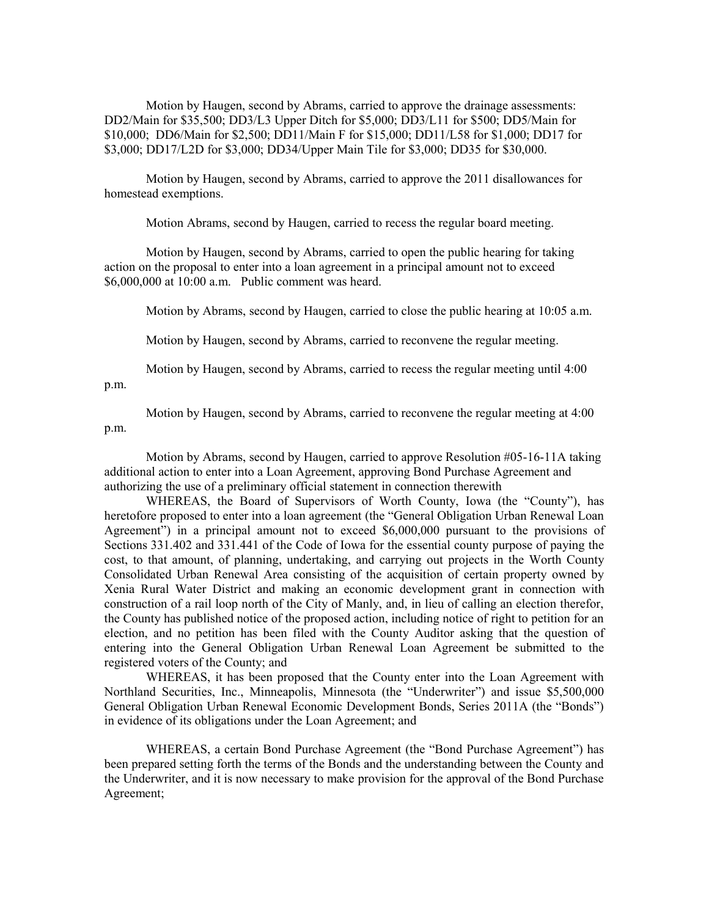Motion by Haugen, second by Abrams, carried to approve the drainage assessments: DD2/Main for \$35,500; DD3/L3 Upper Ditch for \$5,000; DD3/L11 for \$500; DD5/Main for \$10,000; DD6/Main for \$2,500; DD11/Main F for \$15,000; DD11/L58 for \$1,000; DD17 for \$3,000; DD17/L2D for \$3,000; DD34/Upper Main Tile for \$3,000; DD35 for \$30,000.

Motion by Haugen, second by Abrams, carried to approve the 2011 disallowances for homestead exemptions.

Motion Abrams, second by Haugen, carried to recess the regular board meeting.

Motion by Haugen, second by Abrams, carried to open the public hearing for taking action on the proposal to enter into a loan agreement in a principal amount not to exceed \$6,000,000 at 10:00 a.m. Public comment was heard.

Motion by Abrams, second by Haugen, carried to close the public hearing at 10:05 a.m.

Motion by Haugen, second by Abrams, carried to reconvene the regular meeting.

Motion by Haugen, second by Abrams, carried to recess the regular meeting until 4:00 p.m.

Motion by Haugen, second by Abrams, carried to reconvene the regular meeting at 4:00 p.m.

Motion by Abrams, second by Haugen, carried to approve Resolution #05-16-11A taking additional action to enter into a Loan Agreement, approving Bond Purchase Agreement and authorizing the use of a preliminary official statement in connection therewith

WHEREAS, the Board of Supervisors of Worth County, Iowa (the "County"), has heretofore proposed to enter into a loan agreement (the "General Obligation Urban Renewal Loan Agreement") in a principal amount not to exceed \$6,000,000 pursuant to the provisions of Sections 331.402 and 331.441 of the Code of Iowa for the essential county purpose of paying the cost, to that amount, of planning, undertaking, and carrying out projects in the Worth County Consolidated Urban Renewal Area consisting of the acquisition of certain property owned by Xenia Rural Water District and making an economic development grant in connection with construction of a rail loop north of the City of Manly, and, in lieu of calling an election therefor, the County has published notice of the proposed action, including notice of right to petition for an election, and no petition has been filed with the County Auditor asking that the question of entering into the General Obligation Urban Renewal Loan Agreement be submitted to the registered voters of the County; and

WHEREAS, it has been proposed that the County enter into the Loan Agreement with Northland Securities, Inc., Minneapolis, Minnesota (the "Underwriter") and issue \$5,500,000 General Obligation Urban Renewal Economic Development Bonds, Series 2011A (the "Bonds") in evidence of its obligations under the Loan Agreement; and

WHEREAS, a certain Bond Purchase Agreement (the "Bond Purchase Agreement") has been prepared setting forth the terms of the Bonds and the understanding between the County and the Underwriter, and it is now necessary to make provision for the approval of the Bond Purchase Agreement;